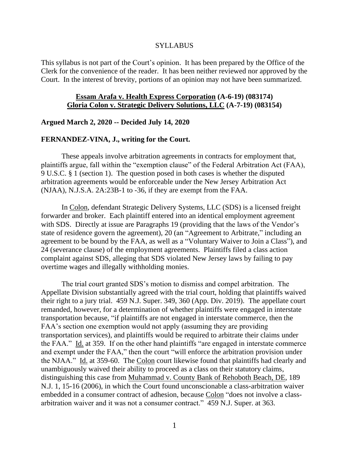#### SYLLABUS

This syllabus is not part of the Court's opinion. It has been prepared by the Office of the Clerk for the convenience of the reader. It has been neither reviewed nor approved by the Court. In the interest of brevity, portions of an opinion may not have been summarized.

## **Essam Arafa v. Health Express Corporation (A-6-19) (083174) Gloria Colon v. Strategic Delivery Solutions, LLC (A-7-19) (083154)**

### **Argued March 2, 2020 -- Decided July 14, 2020**

### **FERNANDEZ-VINA, J., writing for the Court.**

These appeals involve arbitration agreements in contracts for employment that, plaintiffs argue, fall within the "exemption clause" of the Federal Arbitration Act (FAA), 9 U.S.C. § 1 (section 1). The question posed in both cases is whether the disputed arbitration agreements would be enforceable under the New Jersey Arbitration Act (NJAA), N.J.S.A. 2A:23B-1 to -36, if they are exempt from the FAA.

In Colon, defendant Strategic Delivery Systems, LLC (SDS) is a licensed freight forwarder and broker. Each plaintiff entered into an identical employment agreement with SDS. Directly at issue are Paragraphs 19 (providing that the laws of the Vendor's state of residence govern the agreement), 20 (an "Agreement to Arbitrate," including an agreement to be bound by the FAA, as well as a "Voluntary Waiver to Join a Class"), and 24 (severance clause) of the employment agreements. Plaintiffs filed a class action complaint against SDS, alleging that SDS violated New Jersey laws by failing to pay overtime wages and illegally withholding monies.

The trial court granted SDS's motion to dismiss and compel arbitration. The Appellate Division substantially agreed with the trial court, holding that plaintiffs waived their right to a jury trial. 459 N.J. Super. 349, 360 (App. Div. 2019). The appellate court remanded, however, for a determination of whether plaintiffs were engaged in interstate transportation because, "if plaintiffs are not engaged in interstate commerce, then the FAA's section one exemption would not apply (assuming they are providing transportation services), and plaintiffs would be required to arbitrate their claims under the FAA." Id. at 359. If on the other hand plaintiffs "are engaged in interstate commerce and exempt under the FAA," then the court "will enforce the arbitration provision under the NJAA." Id. at 359-60. The Colon court likewise found that plaintiffs had clearly and unambiguously waived their ability to proceed as a class on their statutory claims, distinguishing this case from Muhammad v. County Bank of Rehoboth Beach, DE, 189 N.J. 1, 15-16 (2006), in which the Court found unconscionable a class-arbitration waiver embedded in a consumer contract of adhesion, because Colon "does not involve a classarbitration waiver and it was not a consumer contract." 459 N.J. Super. at 363.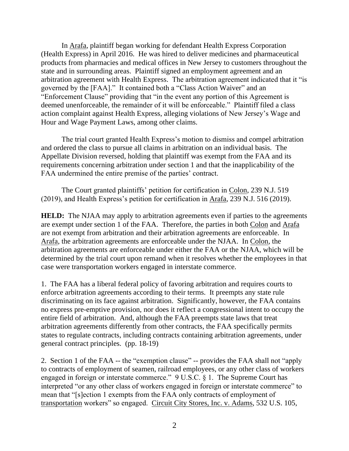In Arafa, plaintiff began working for defendant Health Express Corporation (Health Express) in April 2016. He was hired to deliver medicines and pharmaceutical products from pharmacies and medical offices in New Jersey to customers throughout the state and in surrounding areas. Plaintiff signed an employment agreement and an arbitration agreement with Health Express. The arbitration agreement indicated that it "is governed by the [FAA]." It contained both a "Class Action Waiver" and an "Enforcement Clause" providing that "in the event any portion of this Agreement is deemed unenforceable, the remainder of it will be enforceable." Plaintiff filed a class action complaint against Health Express, alleging violations of New Jersey's Wage and Hour and Wage Payment Laws, among other claims.

The trial court granted Health Express's motion to dismiss and compel arbitration and ordered the class to pursue all claims in arbitration on an individual basis. The Appellate Division reversed, holding that plaintiff was exempt from the FAA and its requirements concerning arbitration under section 1 and that the inapplicability of the FAA undermined the entire premise of the parties' contract.

The Court granted plaintiffs' petition for certification in Colon, 239 N.J. 519 (2019), and Health Express's petition for certification in Arafa, 239 N.J. 516 (2019).

**HELD:** The NJAA may apply to arbitration agreements even if parties to the agreements are exempt under section 1 of the FAA. Therefore, the parties in both Colon and Arafa are not exempt from arbitration and their arbitration agreements are enforceable. In Arafa, the arbitration agreements are enforceable under the NJAA. In Colon, the arbitration agreements are enforceable under either the FAA or the NJAA, which will be determined by the trial court upon remand when it resolves whether the employees in that case were transportation workers engaged in interstate commerce.

1. The FAA has a liberal federal policy of favoring arbitration and requires courts to enforce arbitration agreements according to their terms. It preempts any state rule discriminating on its face against arbitration. Significantly, however, the FAA contains no express pre-emptive provision, nor does it reflect a congressional intent to occupy the entire field of arbitration. And, although the FAA preempts state laws that treat arbitration agreements differently from other contracts, the FAA specifically permits states to regulate contracts, including contracts containing arbitration agreements, under general contract principles. (pp. 18-19)

2. Section 1 of the FAA -- the "exemption clause" -- provides the FAA shall not "apply to contracts of employment of seamen, railroad employees, or any other class of workers engaged in foreign or interstate commerce." 9 U.S.C. § 1. The Supreme Court has interpreted "or any other class of workers engaged in foreign or interstate commerce" to mean that "[s]ection 1 exempts from the FAA only contracts of employment of transportation workers" so engaged. Circuit City Stores, Inc. v. Adams, 532 U.S. 105,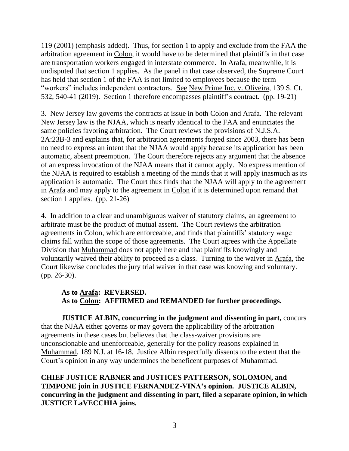119 (2001) (emphasis added). Thus, for section 1 to apply and exclude from the FAA the arbitration agreement in Colon, it would have to be determined that plaintiffs in that case are transportation workers engaged in interstate commerce. In Arafa, meanwhile, it is undisputed that section 1 applies. As the panel in that case observed, the Supreme Court has held that section 1 of the FAA is not limited to employees because the term "workers" includes independent contractors. See New Prime Inc. v. Oliveira, 139 S. Ct. 532, 540-41 (2019). Section 1 therefore encompasses plaintiff's contract. (pp. 19-21)

3. New Jersey law governs the contracts at issue in both Colon and Arafa. The relevant New Jersey law is the NJAA, which is nearly identical to the FAA and enunciates the same policies favoring arbitration. The Court reviews the provisions of N.J.S.A. 2A:23B-3 and explains that, for arbitration agreements forged since 2003, there has been no need to express an intent that the NJAA would apply because its application has been automatic, absent preemption. The Court therefore rejects any argument that the absence of an express invocation of the NJAA means that it cannot apply. No express mention of the NJAA is required to establish a meeting of the minds that it will apply inasmuch as its application is automatic. The Court thus finds that the NJAA will apply to the agreement in Arafa and may apply to the agreement in Colon if it is determined upon remand that section 1 applies. (pp. 21-26)

4. In addition to a clear and unambiguous waiver of statutory claims, an agreement to arbitrate must be the product of mutual assent. The Court reviews the arbitration agreements in Colon, which are enforceable, and finds that plaintiffs' statutory wage claims fall within the scope of those agreements. The Court agrees with the Appellate Division that Muhammad does not apply here and that plaintiffs knowingly and voluntarily waived their ability to proceed as a class. Turning to the waiver in Arafa, the Court likewise concludes the jury trial waiver in that case was knowing and voluntary. (pp. 26-30).

# **As to Arafa: REVERSED. As to Colon: AFFIRMED and REMANDED for further proceedings.**

**JUSTICE ALBIN, concurring in the judgment and dissenting in part,** concurs that the NJAA either governs or may govern the applicability of the arbitration agreements in these cases but believes that the class-waiver provisions are unconscionable and unenforceable, generally for the policy reasons explained in Muhammad, 189 N.J. at 16-18. Justice Albin respectfully dissents to the extent that the Court's opinion in any way undermines the beneficent purposes of Muhammad.

**CHIEF JUSTICE RABNER and JUSTICES PATTERSON, SOLOMON, and TIMPONE join in JUSTICE FERNANDEZ-VINA's opinion. JUSTICE ALBIN, concurring in the judgment and dissenting in part, filed a separate opinion, in which JUSTICE LaVECCHIA joins.**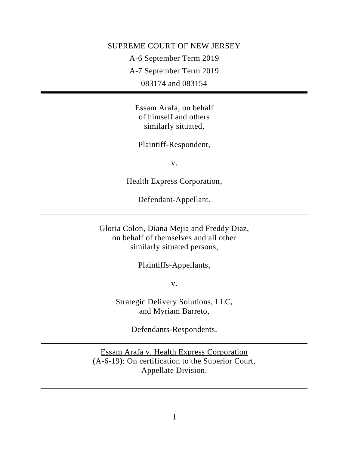# SUPREME COURT OF NEW JERSEY

A-6 September Term 2019

A-7 September Term 2019

083174 and 083154

Essam Arafa, on behalf of himself and others similarly situated,

Plaintiff-Respondent,

v.

Health Express Corporation,

Defendant-Appellant.

Gloria Colon, Diana Mejia and Freddy Diaz, on behalf of themselves and all other similarly situated persons,

Plaintiffs-Appellants,

v.

Strategic Delivery Solutions, LLC, and Myriam Barreto,

Defendants-Respondents.

Essam Arafa v. Health Express Corporation (A-6-19): On certification to the Superior Court, Appellate Division.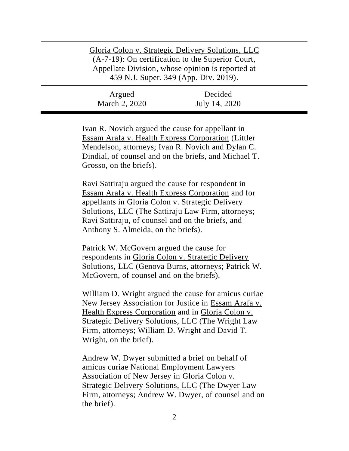| Gloria Colon v. Strategic Delivery Solutions, LLC<br>(A-7-19): On certification to the Superior Court,<br>Appellate Division, whose opinion is reported at<br>459 N.J. Super. 349 (App. Div. 2019). |               |
|-----------------------------------------------------------------------------------------------------------------------------------------------------------------------------------------------------|---------------|
| Argued                                                                                                                                                                                              | Decided       |
| March 2, 2020                                                                                                                                                                                       | July 14, 2020 |

Ivan R. Novich argued the cause for appellant in Essam Arafa v. Health Express Corporation (Littler Mendelson, attorneys; Ivan R. Novich and Dylan C. Dindial, of counsel and on the briefs, and Michael T. Grosso, on the briefs).

Ravi Sattiraju argued the cause for respondent in Essam Arafa v. Health Express Corporation and for appellants in Gloria Colon v. Strategic Delivery Solutions, LLC (The Sattiraju Law Firm, attorneys; Ravi Sattiraju, of counsel and on the briefs, and Anthony S. Almeida, on the briefs).

Patrick W. McGovern argued the cause for respondents in Gloria Colon v. Strategic Delivery Solutions, LLC (Genova Burns, attorneys; Patrick W. McGovern, of counsel and on the briefs).

William D. Wright argued the cause for amicus curiae New Jersey Association for Justice in Essam Arafa v. Health Express Corporation and in Gloria Colon v. Strategic Delivery Solutions, LLC (The Wright Law Firm, attorneys; William D. Wright and David T. Wright, on the brief).

Andrew W. Dwyer submitted a brief on behalf of amicus curiae National Employment Lawyers Association of New Jersey in Gloria Colon v. Strategic Delivery Solutions, LLC (The Dwyer Law Firm, attorneys; Andrew W. Dwyer, of counsel and on the brief).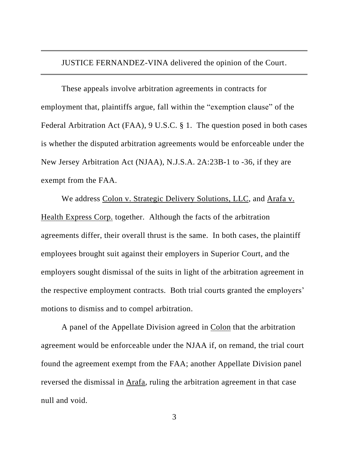JUSTICE FERNANDEZ-VINA delivered the opinion of the Court.

These appeals involve arbitration agreements in contracts for employment that, plaintiffs argue, fall within the "exemption clause" of the Federal Arbitration Act (FAA), 9 U.S.C. § 1. The question posed in both cases is whether the disputed arbitration agreements would be enforceable under the New Jersey Arbitration Act (NJAA), N.J.S.A. 2A:23B-1 to -36, if they are exempt from the FAA.

We address Colon v. Strategic Delivery Solutions, LLC, and Arafa v. Health Express Corp. together. Although the facts of the arbitration agreements differ, their overall thrust is the same. In both cases, the plaintiff employees brought suit against their employers in Superior Court, and the employers sought dismissal of the suits in light of the arbitration agreement in the respective employment contracts. Both trial courts granted the employers' motions to dismiss and to compel arbitration.

A panel of the Appellate Division agreed in Colon that the arbitration agreement would be enforceable under the NJAA if, on remand, the trial court found the agreement exempt from the FAA; another Appellate Division panel reversed the dismissal in Arafa, ruling the arbitration agreement in that case null and void.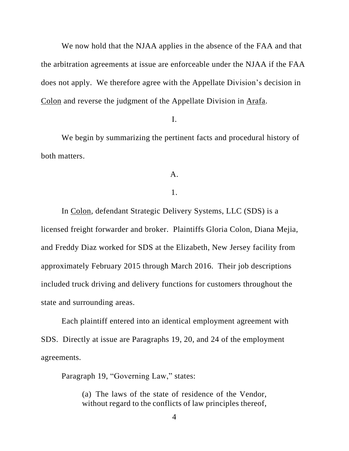We now hold that the NJAA applies in the absence of the FAA and that the arbitration agreements at issue are enforceable under the NJAA if the FAA does not apply. We therefore agree with the Appellate Division's decision in Colon and reverse the judgment of the Appellate Division in Arafa.

## I.

We begin by summarizing the pertinent facts and procedural history of both matters.

# A.

# 1.

In Colon, defendant Strategic Delivery Systems, LLC (SDS) is a licensed freight forwarder and broker. Plaintiffs Gloria Colon, Diana Mejia, and Freddy Diaz worked for SDS at the Elizabeth, New Jersey facility from approximately February 2015 through March 2016. Their job descriptions included truck driving and delivery functions for customers throughout the state and surrounding areas.

Each plaintiff entered into an identical employment agreement with SDS. Directly at issue are Paragraphs 19, 20, and 24 of the employment agreements.

Paragraph 19, "Governing Law," states:

(a) The laws of the state of residence of the Vendor, without regard to the conflicts of law principles thereof,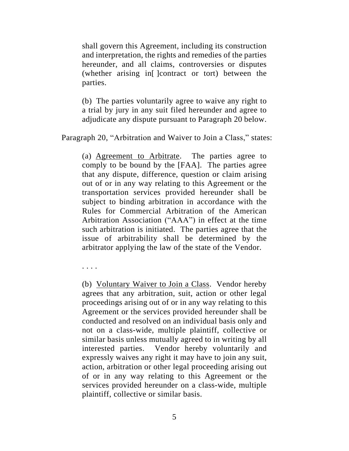shall govern this Agreement, including its construction and interpretation, the rights and remedies of the parties hereunder, and all claims, controversies or disputes (whether arising in[ ]contract or tort) between the parties.

(b) The parties voluntarily agree to waive any right to a trial by jury in any suit filed hereunder and agree to adjudicate any dispute pursuant to Paragraph 20 below.

Paragraph 20, "Arbitration and Waiver to Join a Class," states:

(a) Agreement to Arbitrate. The parties agree to comply to be bound by the [FAA]. The parties agree that any dispute, difference, question or claim arising out of or in any way relating to this Agreement or the transportation services provided hereunder shall be subject to binding arbitration in accordance with the Rules for Commercial Arbitration of the American Arbitration Association ("AAA") in effect at the time such arbitration is initiated. The parties agree that the issue of arbitrability shall be determined by the arbitrator applying the law of the state of the Vendor.

. . . .

(b) Voluntary Waiver to Join a Class. Vendor hereby agrees that any arbitration, suit, action or other legal proceedings arising out of or in any way relating to this Agreement or the services provided hereunder shall be conducted and resolved on an individual basis only and not on a class-wide, multiple plaintiff, collective or similar basis unless mutually agreed to in writing by all interested parties. Vendor hereby voluntarily and expressly waives any right it may have to join any suit, action, arbitration or other legal proceeding arising out of or in any way relating to this Agreement or the services provided hereunder on a class-wide, multiple plaintiff, collective or similar basis.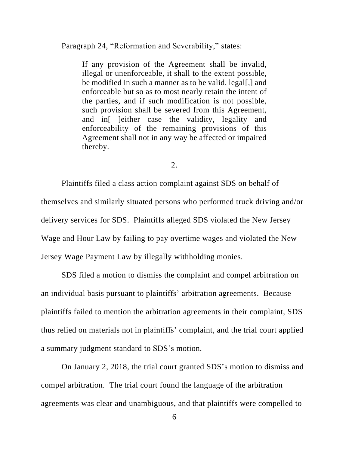Paragraph 24, "Reformation and Severability," states:

If any provision of the Agreement shall be invalid, illegal or unenforceable, it shall to the extent possible, be modified in such a manner as to be valid, legal[,] and enforceable but so as to most nearly retain the intent of the parties, and if such modification is not possible, such provision shall be severed from this Agreement, and in[ ]either case the validity, legality and enforceability of the remaining provisions of this Agreement shall not in any way be affected or impaired thereby.

2.

Plaintiffs filed a class action complaint against SDS on behalf of themselves and similarly situated persons who performed truck driving and/or delivery services for SDS. Plaintiffs alleged SDS violated the New Jersey Wage and Hour Law by failing to pay overtime wages and violated the New Jersey Wage Payment Law by illegally withholding monies.

SDS filed a motion to dismiss the complaint and compel arbitration on an individual basis pursuant to plaintiffs' arbitration agreements. Because plaintiffs failed to mention the arbitration agreements in their complaint, SDS thus relied on materials not in plaintiffs' complaint, and the trial court applied a summary judgment standard to SDS's motion.

On January 2, 2018, the trial court granted SDS's motion to dismiss and compel arbitration. The trial court found the language of the arbitration agreements was clear and unambiguous, and that plaintiffs were compelled to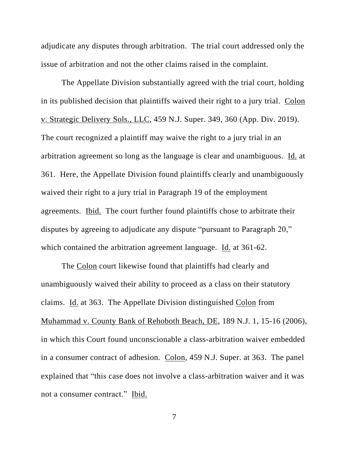adjudicate any disputes through arbitration. The trial court addressed only the issue of arbitration and not the other claims raised in the complaint.

The Appellate Division substantially agreed with the trial court, holding in its published decision that plaintiffs waived their right to a jury trial. Colon v. Strategic Delivery Sols., LLC, 459 N.J. Super. 349, 360 (App. Div. 2019). The court recognized a plaintiff may waive the right to a jury trial in an arbitration agreement so long as the language is clear and unambiguous. Id. at 361. Here, the Appellate Division found plaintiffs clearly and unambiguously waived their right to a jury trial in Paragraph 19 of the employment agreements. Ibid. The court further found plaintiffs chose to arbitrate their disputes by agreeing to adjudicate any dispute "pursuant to Paragraph 20," which contained the arbitration agreement language. Id. at 361-62.

The Colon court likewise found that plaintiffs had clearly and unambiguously waived their ability to proceed as a class on their statutory claims. Id. at 363. The Appellate Division distinguished Colon from Muhammad v. County Bank of Rehoboth Beach, DE, 189 N.J. 1, 15-16 (2006), in which this Court found unconscionable a class-arbitration waiver embedded in a consumer contract of adhesion. Colon, 459 N.J. Super. at 363. The panel explained that "this case does not involve a class-arbitration waiver and it was not a consumer contract." Ibid.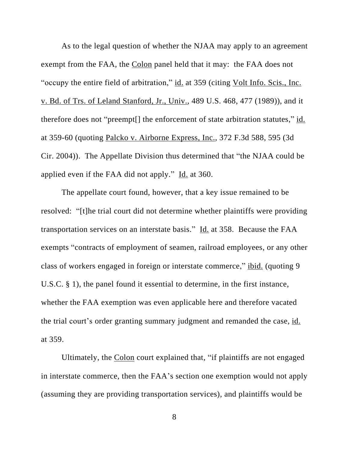As to the legal question of whether the NJAA may apply to an agreement exempt from the FAA, the Colon panel held that it may: the FAA does not "occupy the entire field of arbitration," id. at 359 (citing Volt Info. Scis., Inc. v. Bd. of Trs. of Leland Stanford, Jr., Univ., 489 U.S. 468, 477 (1989)), and it therefore does not "preempt[] the enforcement of state arbitration statutes," id. at 359-60 (quoting Palcko v. Airborne Express, Inc., 372 F.3d 588, 595 (3d Cir. 2004)). The Appellate Division thus determined that "the NJAA could be applied even if the FAA did not apply." Id. at 360.

The appellate court found, however, that a key issue remained to be resolved: "[t]he trial court did not determine whether plaintiffs were providing transportation services on an interstate basis." Id. at 358. Because the FAA exempts "contracts of employment of seamen, railroad employees, or any other class of workers engaged in foreign or interstate commerce," ibid. (quoting 9 U.S.C. § 1), the panel found it essential to determine, in the first instance, whether the FAA exemption was even applicable here and therefore vacated the trial court's order granting summary judgment and remanded the case, id. at 359.

Ultimately, the Colon court explained that, "if plaintiffs are not engaged in interstate commerce, then the FAA's section one exemption would not apply (assuming they are providing transportation services), and plaintiffs would be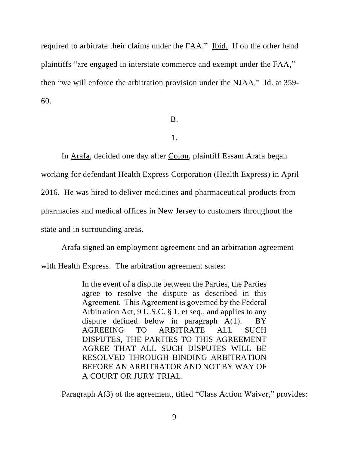required to arbitrate their claims under the FAA." Ibid. If on the other hand plaintiffs "are engaged in interstate commerce and exempt under the FAA," then "we will enforce the arbitration provision under the NJAA." Id. at 359- 60.

B.

1.

In Arafa, decided one day after Colon, plaintiff Essam Arafa began working for defendant Health Express Corporation (Health Express) in April 2016. He was hired to deliver medicines and pharmaceutical products from pharmacies and medical offices in New Jersey to customers throughout the state and in surrounding areas.

Arafa signed an employment agreement and an arbitration agreement with Health Express. The arbitration agreement states:

> In the event of a dispute between the Parties, the Parties agree to resolve the dispute as described in this Agreement. This Agreement is governed by the Federal Arbitration Act, 9 U.S.C. § 1, et seq., and applies to any dispute defined below in paragraph A(1). BY AGREEING TO ARBITRATE ALL SUCH DISPUTES, THE PARTIES TO THIS AGREEMENT AGREE THAT ALL SUCH DISPUTES WILL BE RESOLVED THROUGH BINDING ARBITRATION BEFORE AN ARBITRATOR AND NOT BY WAY OF A COURT OR JURY TRIAL.

Paragraph A(3) of the agreement, titled "Class Action Waiver," provides: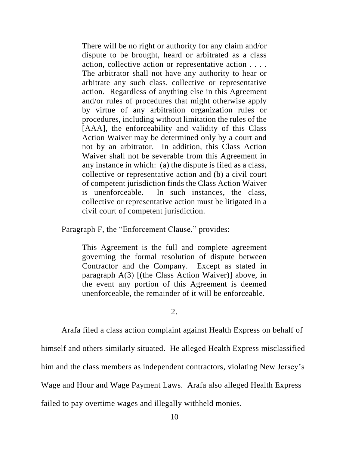There will be no right or authority for any claim and/or dispute to be brought, heard or arbitrated as a class action, collective action or representative action . . . . The arbitrator shall not have any authority to hear or arbitrate any such class, collective or representative action. Regardless of anything else in this Agreement and/or rules of procedures that might otherwise apply by virtue of any arbitration organization rules or procedures, including without limitation the rules of the [AAA], the enforceability and validity of this Class Action Waiver may be determined only by a court and not by an arbitrator. In addition, this Class Action Waiver shall not be severable from this Agreement in any instance in which: (a) the dispute is filed as a class, collective or representative action and (b) a civil court of competent jurisdiction finds the Class Action Waiver is unenforceable. In such instances, the class, collective or representative action must be litigated in a civil court of competent jurisdiction.

Paragraph F, the "Enforcement Clause," provides:

This Agreement is the full and complete agreement governing the formal resolution of dispute between Contractor and the Company. Except as stated in paragraph A(3) [(the Class Action Waiver)] above, in the event any portion of this Agreement is deemed unenforceable, the remainder of it will be enforceable.

2.

Arafa filed a class action complaint against Health Express on behalf of

himself and others similarly situated. He alleged Health Express misclassified

him and the class members as independent contractors, violating New Jersey's

Wage and Hour and Wage Payment Laws. Arafa also alleged Health Express

failed to pay overtime wages and illegally withheld monies.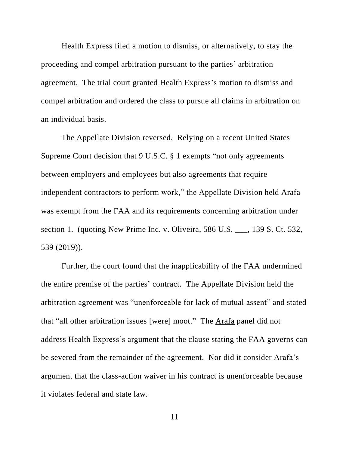Health Express filed a motion to dismiss, or alternatively, to stay the proceeding and compel arbitration pursuant to the parties' arbitration agreement. The trial court granted Health Express's motion to dismiss and compel arbitration and ordered the class to pursue all claims in arbitration on an individual basis.

The Appellate Division reversed. Relying on a recent United States Supreme Court decision that 9 U.S.C. § 1 exempts "not only agreements between employers and employees but also agreements that require independent contractors to perform work," the Appellate Division held Arafa was exempt from the FAA and its requirements concerning arbitration under section 1. (quoting New Prime Inc. v. Oliveira, 586 U.S. \_\_\_, 139 S. Ct. 532, 539 (2019)).

Further, the court found that the inapplicability of the FAA undermined the entire premise of the parties' contract. The Appellate Division held the arbitration agreement was "unenforceable for lack of mutual assent" and stated that "all other arbitration issues [were] moot." The Arafa panel did not address Health Express's argument that the clause stating the FAA governs can be severed from the remainder of the agreement. Nor did it consider Arafa's argument that the class-action waiver in his contract is unenforceable because it violates federal and state law.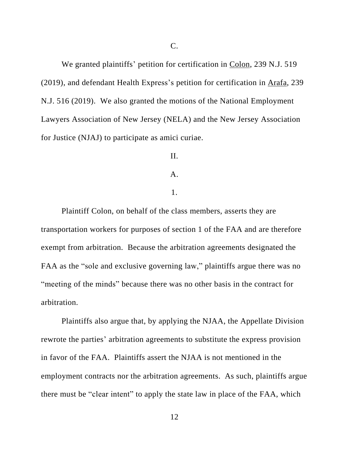We granted plaintiffs' petition for certification in Colon, 239 N.J. 519 (2019), and defendant Health Express's petition for certification in Arafa, 239 N.J. 516 (2019). We also granted the motions of the National Employment Lawyers Association of New Jersey (NELA) and the New Jersey Association for Justice (NJAJ) to participate as amici curiae.

## II.

#### A.

## 1.

Plaintiff Colon, on behalf of the class members, asserts they are transportation workers for purposes of section 1 of the FAA and are therefore exempt from arbitration. Because the arbitration agreements designated the FAA as the "sole and exclusive governing law," plaintiffs argue there was no "meeting of the minds" because there was no other basis in the contract for arbitration.

Plaintiffs also argue that, by applying the NJAA, the Appellate Division rewrote the parties' arbitration agreements to substitute the express provision in favor of the FAA. Plaintiffs assert the NJAA is not mentioned in the employment contracts nor the arbitration agreements. As such, plaintiffs argue there must be "clear intent" to apply the state law in place of the FAA, which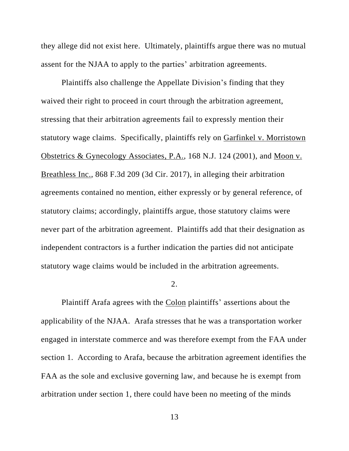they allege did not exist here. Ultimately, plaintiffs argue there was no mutual assent for the NJAA to apply to the parties' arbitration agreements.

Plaintiffs also challenge the Appellate Division's finding that they waived their right to proceed in court through the arbitration agreement, stressing that their arbitration agreements fail to expressly mention their statutory wage claims. Specifically, plaintiffs rely on Garfinkel v. Morristown Obstetrics & Gynecology Associates, P.A., 168 N.J. 124 (2001), and Moon v. Breathless Inc., 868 F.3d 209 (3d Cir. 2017), in alleging their arbitration agreements contained no mention, either expressly or by general reference, of statutory claims; accordingly, plaintiffs argue, those statutory claims were never part of the arbitration agreement. Plaintiffs add that their designation as independent contractors is a further indication the parties did not anticipate statutory wage claims would be included in the arbitration agreements.

### 2.

Plaintiff Arafa agrees with the Colon plaintiffs' assertions about the applicability of the NJAA. Arafa stresses that he was a transportation worker engaged in interstate commerce and was therefore exempt from the FAA under section 1. According to Arafa, because the arbitration agreement identifies the FAA as the sole and exclusive governing law, and because he is exempt from arbitration under section 1, there could have been no meeting of the minds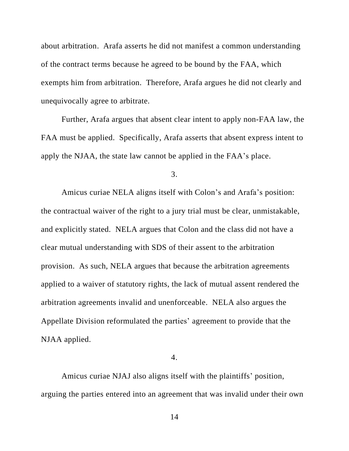about arbitration. Arafa asserts he did not manifest a common understanding of the contract terms because he agreed to be bound by the FAA, which exempts him from arbitration. Therefore, Arafa argues he did not clearly and unequivocally agree to arbitrate.

Further, Arafa argues that absent clear intent to apply non-FAA law, the FAA must be applied. Specifically, Arafa asserts that absent express intent to apply the NJAA, the state law cannot be applied in the FAA's place.

3.

Amicus curiae NELA aligns itself with Colon's and Arafa's position: the contractual waiver of the right to a jury trial must be clear, unmistakable, and explicitly stated. NELA argues that Colon and the class did not have a clear mutual understanding with SDS of their assent to the arbitration provision. As such, NELA argues that because the arbitration agreements applied to a waiver of statutory rights, the lack of mutual assent rendered the arbitration agreements invalid and unenforceable. NELA also argues the Appellate Division reformulated the parties' agreement to provide that the NJAA applied.

4.

Amicus curiae NJAJ also aligns itself with the plaintiffs' position, arguing the parties entered into an agreement that was invalid under their own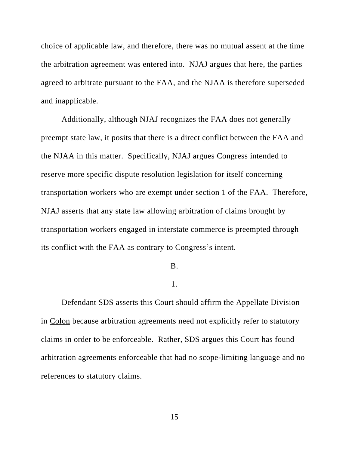choice of applicable law, and therefore, there was no mutual assent at the time the arbitration agreement was entered into. NJAJ argues that here, the parties agreed to arbitrate pursuant to the FAA, and the NJAA is therefore superseded and inapplicable.

Additionally, although NJAJ recognizes the FAA does not generally preempt state law, it posits that there is a direct conflict between the FAA and the NJAA in this matter. Specifically, NJAJ argues Congress intended to reserve more specific dispute resolution legislation for itself concerning transportation workers who are exempt under section 1 of the FAA. Therefore, NJAJ asserts that any state law allowing arbitration of claims brought by transportation workers engaged in interstate commerce is preempted through its conflict with the FAA as contrary to Congress's intent.

#### B.

### 1.

Defendant SDS asserts this Court should affirm the Appellate Division in Colon because arbitration agreements need not explicitly refer to statutory claims in order to be enforceable. Rather, SDS argues this Court has found arbitration agreements enforceable that had no scope-limiting language and no references to statutory claims.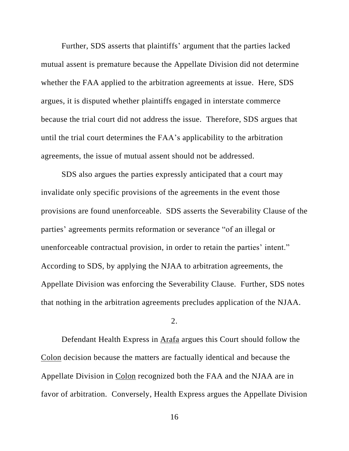Further, SDS asserts that plaintiffs' argument that the parties lacked mutual assent is premature because the Appellate Division did not determine whether the FAA applied to the arbitration agreements at issue. Here, SDS argues, it is disputed whether plaintiffs engaged in interstate commerce because the trial court did not address the issue. Therefore, SDS argues that until the trial court determines the FAA's applicability to the arbitration agreements, the issue of mutual assent should not be addressed.

SDS also argues the parties expressly anticipated that a court may invalidate only specific provisions of the agreements in the event those provisions are found unenforceable. SDS asserts the Severability Clause of the parties' agreements permits reformation or severance "of an illegal or unenforceable contractual provision, in order to retain the parties' intent." According to SDS, by applying the NJAA to arbitration agreements, the Appellate Division was enforcing the Severability Clause. Further, SDS notes that nothing in the arbitration agreements precludes application of the NJAA.

## 2.

Defendant Health Express in Arafa argues this Court should follow the Colon decision because the matters are factually identical and because the Appellate Division in Colon recognized both the FAA and the NJAA are in favor of arbitration. Conversely, Health Express argues the Appellate Division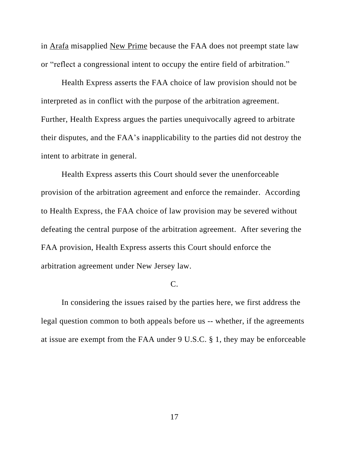in Arafa misapplied New Prime because the FAA does not preempt state law or "reflect a congressional intent to occupy the entire field of arbitration."

Health Express asserts the FAA choice of law provision should not be interpreted as in conflict with the purpose of the arbitration agreement. Further, Health Express argues the parties unequivocally agreed to arbitrate their disputes, and the FAA's inapplicability to the parties did not destroy the intent to arbitrate in general.

Health Express asserts this Court should sever the unenforceable provision of the arbitration agreement and enforce the remainder. According to Health Express, the FAA choice of law provision may be severed without defeating the central purpose of the arbitration agreement. After severing the FAA provision, Health Express asserts this Court should enforce the arbitration agreement under New Jersey law.

# C.

In considering the issues raised by the parties here, we first address the legal question common to both appeals before us -- whether, if the agreements at issue are exempt from the FAA under 9 U.S.C. § 1, they may be enforceable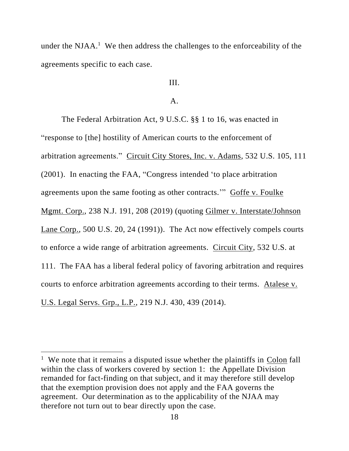under the NJAA.<sup>1</sup> We then address the challenges to the enforceability of the agreements specific to each case.

# III.

## $\mathbf{A}$ .

The Federal Arbitration Act, 9 U.S.C. §§ 1 to 16, was enacted in "response to [the] hostility of American courts to the enforcement of arbitration agreements." Circuit City Stores, Inc. v. Adams, 532 U.S. 105, 111 (2001). In enacting the FAA, "Congress intended 'to place arbitration agreements upon the same footing as other contracts.'" Goffe v. Foulke Mgmt. Corp., 238 N.J. 191, 208 (2019) (quoting Gilmer v. Interstate/Johnson Lane Corp., 500 U.S. 20, 24 (1991)). The Act now effectively compels courts to enforce a wide range of arbitration agreements. Circuit City, 532 U.S. at 111. The FAA has a liberal federal policy of favoring arbitration and requires courts to enforce arbitration agreements according to their terms. Atalese v. U.S. Legal Servs. Grp., L.P., 219 N.J. 430, 439 (2014).

<sup>&</sup>lt;sup>1</sup> We note that it remains a disputed issue whether the plaintiffs in  $\frac{Colon}{ed}$  fall within the class of workers covered by section 1: the Appellate Division remanded for fact-finding on that subject, and it may therefore still develop that the exemption provision does not apply and the FAA governs the agreement. Our determination as to the applicability of the NJAA may therefore not turn out to bear directly upon the case.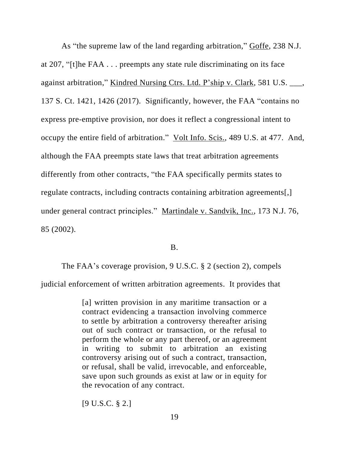As "the supreme law of the land regarding arbitration," Goffe, 238 N.J. at 207, "[t]he FAA . . . preempts any state rule discriminating on its face against arbitration," Kindred Nursing Ctrs. Ltd. P'ship v. Clark, 581 U.S. \_\_\_, 137 S. Ct. 1421, 1426 (2017). Significantly, however, the FAA "contains no express pre-emptive provision, nor does it reflect a congressional intent to occupy the entire field of arbitration." Volt Info. Scis., 489 U.S. at 477. And, although the FAA preempts state laws that treat arbitration agreements differently from other contracts, "the FAA specifically permits states to regulate contracts, including contracts containing arbitration agreements[,] under general contract principles." Martindale v. Sandvik, Inc., 173 N.J. 76, 85 (2002).

B.

The FAA's coverage provision, 9 U.S.C. § 2 (section 2), compels

judicial enforcement of written arbitration agreements. It provides that

[a] written provision in any maritime transaction or a contract evidencing a transaction involving commerce to settle by arbitration a controversy thereafter arising out of such contract or transaction, or the refusal to perform the whole or any part thereof, or an agreement in writing to submit to arbitration an existing controversy arising out of such a contract, transaction, or refusal, shall be valid, irrevocable, and enforceable, save upon such grounds as exist at law or in equity for the revocation of any contract.

[9 U.S.C. § 2.]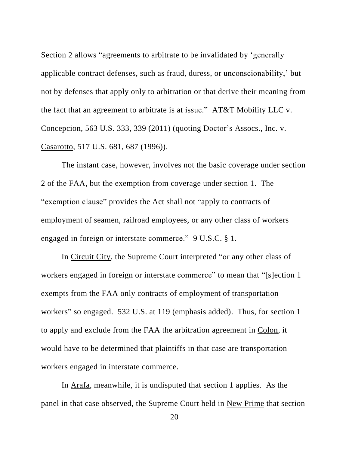Section 2 allows "agreements to arbitrate to be invalidated by 'generally applicable contract defenses, such as fraud, duress, or unconscionability,' but not by defenses that apply only to arbitration or that derive their meaning from the fact that an agreement to arbitrate is at issue." AT&T Mobility LLC v. Concepcion, 563 U.S. 333, 339 (2011) (quoting Doctor's Assocs., Inc. v. Casarotto, 517 U.S. 681, 687 (1996)).

The instant case, however, involves not the basic coverage under section 2 of the FAA, but the exemption from coverage under section 1. The "exemption clause" provides the Act shall not "apply to contracts of employment of seamen, railroad employees, or any other class of workers engaged in foreign or interstate commerce." 9 U.S.C. § 1.

In Circuit City, the Supreme Court interpreted "or any other class of workers engaged in foreign or interstate commerce" to mean that "[s]ection 1 exempts from the FAA only contracts of employment of transportation workers" so engaged. 532 U.S. at 119 (emphasis added). Thus, for section 1 to apply and exclude from the FAA the arbitration agreement in Colon, it would have to be determined that plaintiffs in that case are transportation workers engaged in interstate commerce.

In Arafa, meanwhile, it is undisputed that section 1 applies. As the panel in that case observed, the Supreme Court held in New Prime that section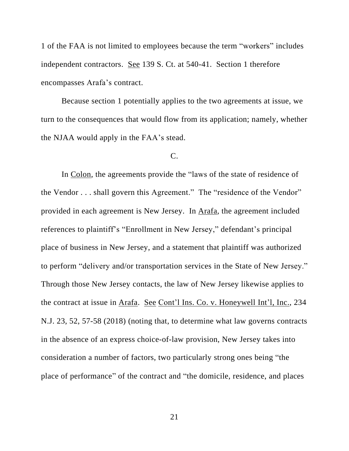1 of the FAA is not limited to employees because the term "workers" includes independent contractors. See 139 S. Ct. at 540-41. Section 1 therefore encompasses Arafa's contract.

Because section 1 potentially applies to the two agreements at issue, we turn to the consequences that would flow from its application; namely, whether the NJAA would apply in the FAA's stead.

## C.

In Colon, the agreements provide the "laws of the state of residence of the Vendor . . . shall govern this Agreement." The "residence of the Vendor" provided in each agreement is New Jersey. In Arafa, the agreement included references to plaintiff's "Enrollment in New Jersey," defendant's principal place of business in New Jersey, and a statement that plaintiff was authorized to perform "delivery and/or transportation services in the State of New Jersey." Through those New Jersey contacts, the law of New Jersey likewise applies to the contract at issue in Arafa. See Cont'l Ins. Co. v. Honeywell Int'l, Inc., 234 N.J. 23, 52, 57-58 (2018) (noting that, to determine what law governs contracts in the absence of an express choice-of-law provision, New Jersey takes into consideration a number of factors, two particularly strong ones being "the place of performance" of the contract and "the domicile, residence, and places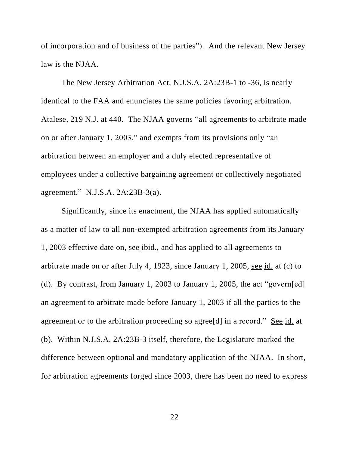of incorporation and of business of the parties"). And the relevant New Jersey law is the NJAA.

The New Jersey Arbitration Act, N.J.S.A. 2A:23B-1 to -36, is nearly identical to the FAA and enunciates the same policies favoring arbitration. Atalese, 219 N.J. at 440. The NJAA governs "all agreements to arbitrate made on or after January 1, 2003," and exempts from its provisions only "an arbitration between an employer and a duly elected representative of employees under a collective bargaining agreement or collectively negotiated agreement." N.J.S.A. 2A:23B-3(a).

Significantly, since its enactment, the NJAA has applied automatically as a matter of law to all non-exempted arbitration agreements from its January 1, 2003 effective date on, see ibid., and has applied to all agreements to arbitrate made on or after July 4, 1923, since January 1, 2005, see id. at (c) to (d). By contrast, from January 1, 2003 to January 1, 2005, the act "govern[ed] an agreement to arbitrate made before January 1, 2003 if all the parties to the agreement or to the arbitration proceeding so agree[d] in a record." See id. at (b). Within N.J.S.A. 2A:23B-3 itself, therefore, the Legislature marked the difference between optional and mandatory application of the NJAA. In short, for arbitration agreements forged since 2003, there has been no need to express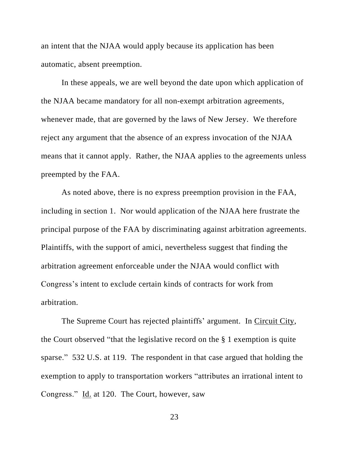an intent that the NJAA would apply because its application has been automatic, absent preemption.

In these appeals, we are well beyond the date upon which application of the NJAA became mandatory for all non-exempt arbitration agreements, whenever made, that are governed by the laws of New Jersey. We therefore reject any argument that the absence of an express invocation of the NJAA means that it cannot apply. Rather, the NJAA applies to the agreements unless preempted by the FAA.

As noted above, there is no express preemption provision in the FAA, including in section 1. Nor would application of the NJAA here frustrate the principal purpose of the FAA by discriminating against arbitration agreements. Plaintiffs, with the support of amici, nevertheless suggest that finding the arbitration agreement enforceable under the NJAA would conflict with Congress's intent to exclude certain kinds of contracts for work from arbitration.

The Supreme Court has rejected plaintiffs' argument. In Circuit City, the Court observed "that the legislative record on the § 1 exemption is quite sparse." 532 U.S. at 119. The respondent in that case argued that holding the exemption to apply to transportation workers "attributes an irrational intent to Congress." Id. at 120. The Court, however, saw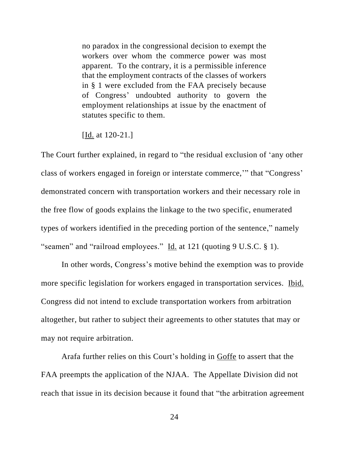no paradox in the congressional decision to exempt the workers over whom the commerce power was most apparent. To the contrary, it is a permissible inference that the employment contracts of the classes of workers in § 1 were excluded from the FAA precisely because of Congress' undoubted authority to govern the employment relationships at issue by the enactment of statutes specific to them.

[Id. at 120-21.]

The Court further explained, in regard to "the residual exclusion of 'any other class of workers engaged in foreign or interstate commerce,'" that "Congress' demonstrated concern with transportation workers and their necessary role in the free flow of goods explains the linkage to the two specific, enumerated types of workers identified in the preceding portion of the sentence," namely "seamen" and "railroad employees." Id. at 121 (quoting 9 U.S.C. § 1).

In other words, Congress's motive behind the exemption was to provide more specific legislation for workers engaged in transportation services. Ibid. Congress did not intend to exclude transportation workers from arbitration altogether, but rather to subject their agreements to other statutes that may or may not require arbitration.

Arafa further relies on this Court's holding in **Goffe** to assert that the FAA preempts the application of the NJAA. The Appellate Division did not reach that issue in its decision because it found that "the arbitration agreement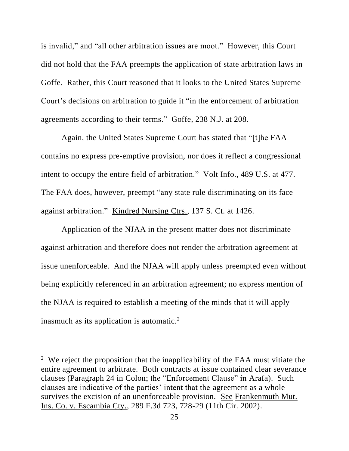is invalid," and "all other arbitration issues are moot." However, this Court did not hold that the FAA preempts the application of state arbitration laws in Goffe. Rather, this Court reasoned that it looks to the United States Supreme Court's decisions on arbitration to guide it "in the enforcement of arbitration agreements according to their terms." Goffe, 238 N.J. at 208.

Again, the United States Supreme Court has stated that "[t]he FAA contains no express pre-emptive provision, nor does it reflect a congressional intent to occupy the entire field of arbitration." Volt Info., 489 U.S. at 477. The FAA does, however, preempt "any state rule discriminating on its face against arbitration." Kindred Nursing Ctrs., 137 S. Ct. at 1426.

Application of the NJAA in the present matter does not discriminate against arbitration and therefore does not render the arbitration agreement at issue unenforceable. And the NJAA will apply unless preempted even without being explicitly referenced in an arbitration agreement; no express mention of the NJAA is required to establish a meeting of the minds that it will apply inasmuch as its application is automatic.<sup>2</sup>

<sup>&</sup>lt;sup>2</sup> We reject the proposition that the inapplicability of the FAA must vitiate the entire agreement to arbitrate. Both contracts at issue contained clear severance clauses (Paragraph 24 in Colon; the "Enforcement Clause" in Arafa). Such clauses are indicative of the parties' intent that the agreement as a whole survives the excision of an unenforceable provision. See Frankenmuth Mut. Ins. Co. v. Escambia Cty., 289 F.3d 723, 728-29 (11th Cir. 2002).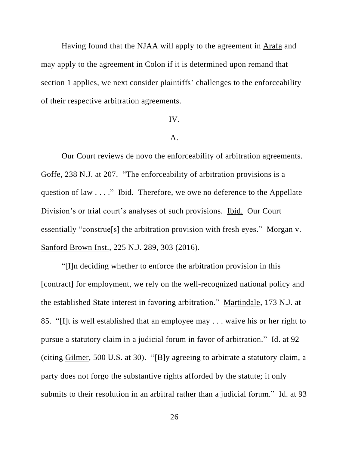Having found that the NJAA will apply to the agreement in Arafa and may apply to the agreement in Colon if it is determined upon remand that section 1 applies, we next consider plaintiffs' challenges to the enforceability of their respective arbitration agreements.

### IV.

### A.

Our Court reviews de novo the enforceability of arbitration agreements. Goffe, 238 N.J. at 207. "The enforceability of arbitration provisions is a question of law . . . ." Ibid. Therefore, we owe no deference to the Appellate Division's or trial court's analyses of such provisions. Ibid. Our Court essentially "construe[s] the arbitration provision with fresh eyes." Morgan v. Sanford Brown Inst., 225 N.J. 289, 303 (2016).

"[I]n deciding whether to enforce the arbitration provision in this [contract] for employment, we rely on the well-recognized national policy and the established State interest in favoring arbitration." Martindale, 173 N.J. at 85. "[I]t is well established that an employee may . . . waive his or her right to pursue a statutory claim in a judicial forum in favor of arbitration." Id. at 92 (citing Gilmer, 500 U.S. at 30). "[B]y agreeing to arbitrate a statutory claim, a party does not forgo the substantive rights afforded by the statute; it only submits to their resolution in an arbitral rather than a judicial forum." Id. at 93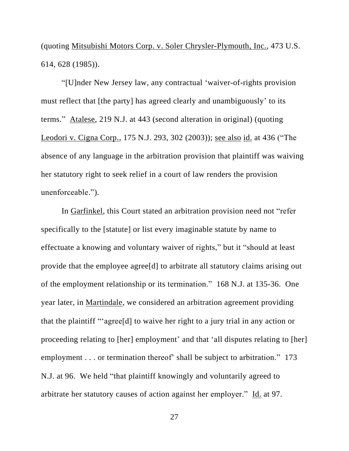(quoting Mitsubishi Motors Corp. v. Soler Chrysler-Plymouth, Inc., 473 U.S. 614, 628 (1985)).

"[U]nder New Jersey law, any contractual 'waiver-of-rights provision must reflect that [the party] has agreed clearly and unambiguously' to its terms." Atalese, 219 N.J. at 443 (second alteration in original) (quoting Leodori v. Cigna Corp., 175 N.J. 293, 302 (2003)); see also id. at 436 ("The absence of any language in the arbitration provision that plaintiff was waiving her statutory right to seek relief in a court of law renders the provision unenforceable.").

In Garfinkel, this Court stated an arbitration provision need not "refer specifically to the [statute] or list every imaginable statute by name to effectuate a knowing and voluntary waiver of rights," but it "should at least provide that the employee agree[d] to arbitrate all statutory claims arising out of the employment relationship or its termination." 168 N.J. at 135-36. One year later, in Martindale, we considered an arbitration agreement providing that the plaintiff "'agree[d] to waive her right to a jury trial in any action or proceeding relating to [her] employment' and that 'all disputes relating to [her] employment . . . or termination thereof' shall be subject to arbitration." 173 N.J. at 96. We held "that plaintiff knowingly and voluntarily agreed to arbitrate her statutory causes of action against her employer." Id. at 97.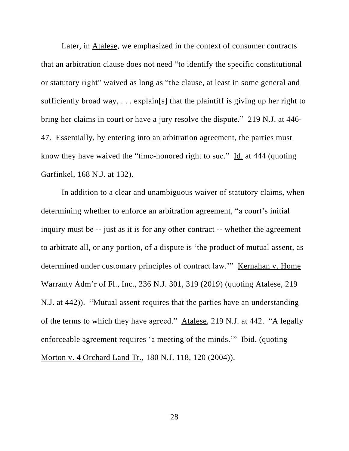Later, in Atalese, we emphasized in the context of consumer contracts that an arbitration clause does not need "to identify the specific constitutional or statutory right" waived as long as "the clause, at least in some general and sufficiently broad way, . . . explain[s] that the plaintiff is giving up her right to bring her claims in court or have a jury resolve the dispute." 219 N.J. at 446- 47. Essentially, by entering into an arbitration agreement, the parties must know they have waived the "time-honored right to sue." Id. at 444 (quoting Garfinkel, 168 N.J. at 132).

In addition to a clear and unambiguous waiver of statutory claims, when determining whether to enforce an arbitration agreement, "a court's initial inquiry must be -- just as it is for any other contract -- whether the agreement to arbitrate all, or any portion, of a dispute is 'the product of mutual assent, as determined under customary principles of contract law.'" Kernahan v. Home Warranty Adm'r of Fl., Inc., 236 N.J. 301, 319 (2019) (quoting Atalese, 219 N.J. at 442)). "Mutual assent requires that the parties have an understanding of the terms to which they have agreed." Atalese, 219 N.J. at 442. "A legally enforceable agreement requires 'a meeting of the minds.'" Ibid. (quoting Morton v. 4 Orchard Land Tr., 180 N.J. 118, 120 (2004)).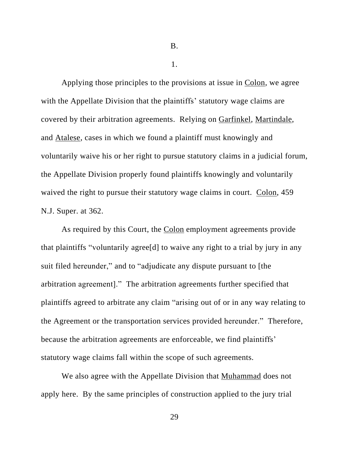B.

1.

Applying those principles to the provisions at issue in Colon, we agree with the Appellate Division that the plaintiffs' statutory wage claims are covered by their arbitration agreements. Relying on Garfinkel, Martindale, and Atalese, cases in which we found a plaintiff must knowingly and voluntarily waive his or her right to pursue statutory claims in a judicial forum, the Appellate Division properly found plaintiffs knowingly and voluntarily waived the right to pursue their statutory wage claims in court. Colon, 459 N.J. Super. at 362.

As required by this Court, the Colon employment agreements provide that plaintiffs "voluntarily agree[d] to waive any right to a trial by jury in any suit filed hereunder," and to "adjudicate any dispute pursuant to [the arbitration agreement]." The arbitration agreements further specified that plaintiffs agreed to arbitrate any claim "arising out of or in any way relating to the Agreement or the transportation services provided hereunder." Therefore, because the arbitration agreements are enforceable, we find plaintiffs' statutory wage claims fall within the scope of such agreements.

We also agree with the Appellate Division that Muhammad does not apply here. By the same principles of construction applied to the jury trial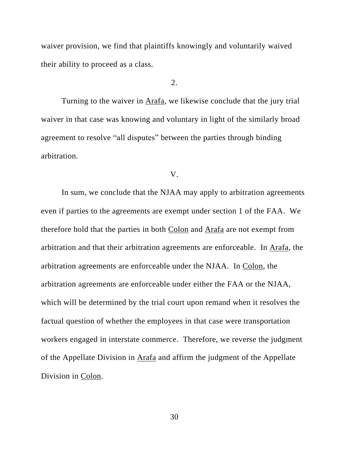waiver provision, we find that plaintiffs knowingly and voluntarily waived their ability to proceed as a class.

## $2<sub>1</sub>$

Turning to the waiver in Arafa, we likewise conclude that the jury trial waiver in that case was knowing and voluntary in light of the similarly broad agreement to resolve "all disputes" between the parties through binding arbitration.

#### V.

In sum, we conclude that the NJAA may apply to arbitration agreements even if parties to the agreements are exempt under section 1 of the FAA. We therefore hold that the parties in both Colon and Arafa are not exempt from arbitration and that their arbitration agreements are enforceable. In Arafa, the arbitration agreements are enforceable under the NJAA. In Colon, the arbitration agreements are enforceable under either the FAA or the NJAA, which will be determined by the trial court upon remand when it resolves the factual question of whether the employees in that case were transportation workers engaged in interstate commerce. Therefore, we reverse the judgment of the Appellate Division in Arafa and affirm the judgment of the Appellate Division in Colon.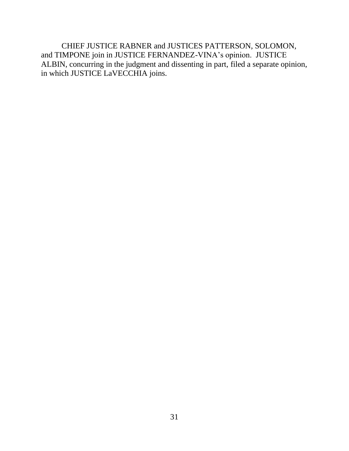CHIEF JUSTICE RABNER and JUSTICES PATTERSON, SOLOMON, and TIMPONE join in JUSTICE FERNANDEZ-VINA's opinion. JUSTICE ALBIN, concurring in the judgment and dissenting in part, filed a separate opinion, in which JUSTICE LaVECCHIA joins.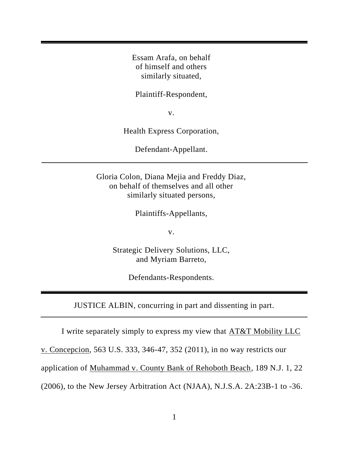Essam Arafa, on behalf of himself and others similarly situated,

Plaintiff-Respondent,

v.

Health Express Corporation,

Defendant-Appellant.

Gloria Colon, Diana Mejia and Freddy Diaz, on behalf of themselves and all other similarly situated persons,

Plaintiffs-Appellants,

v.

Strategic Delivery Solutions, LLC, and Myriam Barreto,

Defendants-Respondents.

JUSTICE ALBIN, concurring in part and dissenting in part.

I write separately simply to express my view that AT&T Mobility LLC

v. Concepcion, 563 U.S. 333, 346-47, 352 (2011), in no way restricts our

application of Muhammad v. County Bank of Rehoboth Beach, 189 N.J. 1, 22

(2006), to the New Jersey Arbitration Act (NJAA), N.J.S.A. 2A:23B-1 to -36.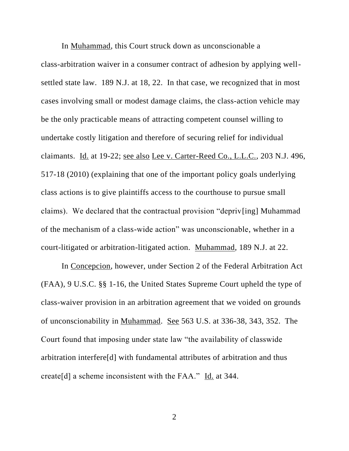In Muhammad, this Court struck down as unconscionable a class-arbitration waiver in a consumer contract of adhesion by applying wellsettled state law. 189 N.J. at 18, 22. In that case, we recognized that in most cases involving small or modest damage claims, the class-action vehicle may be the only practicable means of attracting competent counsel willing to undertake costly litigation and therefore of securing relief for individual claimants. Id. at 19-22; see also Lee v. Carter-Reed Co., L.L.C., 203 N.J. 496, 517-18 (2010) (explaining that one of the important policy goals underlying class actions is to give plaintiffs access to the courthouse to pursue small claims). We declared that the contractual provision "depriv[ing] Muhammad of the mechanism of a class-wide action" was unconscionable, whether in a court-litigated or arbitration-litigated action. Muhammad, 189 N.J. at 22.

In Concepcion, however, under Section 2 of the Federal Arbitration Act (FAA), 9 U.S.C. §§ 1-16, the United States Supreme Court upheld the type of class-waiver provision in an arbitration agreement that we voided on grounds of unconscionability in Muhammad. See 563 U.S. at 336-38, 343, 352. The Court found that imposing under state law "the availability of classwide arbitration interfere[d] with fundamental attributes of arbitration and thus create[d] a scheme inconsistent with the FAA." Id. at 344.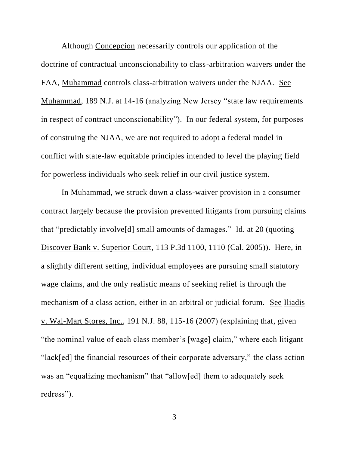Although Concepcion necessarily controls our application of the doctrine of contractual unconscionability to class-arbitration waivers under the FAA, Muhammad controls class-arbitration waivers under the NJAA. See Muhammad, 189 N.J. at 14-16 (analyzing New Jersey "state law requirements in respect of contract unconscionability"). In our federal system, for purposes of construing the NJAA, we are not required to adopt a federal model in conflict with state-law equitable principles intended to level the playing field for powerless individuals who seek relief in our civil justice system.

In Muhammad, we struck down a class-waiver provision in a consumer contract largely because the provision prevented litigants from pursuing claims that "predictably involve[d] small amounts of damages." Id. at 20 (quoting Discover Bank v. Superior Court, 113 P.3d 1100, 1110 (Cal. 2005)). Here, in a slightly different setting, individual employees are pursuing small statutory wage claims, and the only realistic means of seeking relief is through the mechanism of a class action, either in an arbitral or judicial forum. See Iliadis v. Wal-Mart Stores, Inc., 191 N.J. 88, 115-16 (2007) (explaining that, given "the nominal value of each class member's [wage] claim," where each litigant "lack[ed] the financial resources of their corporate adversary," the class action was an "equalizing mechanism" that "allow[ed] them to adequately seek redress").